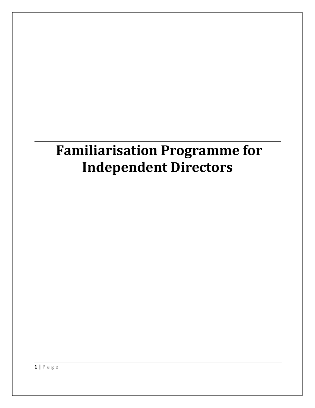# **Familiarisation Programme for Independent Directors**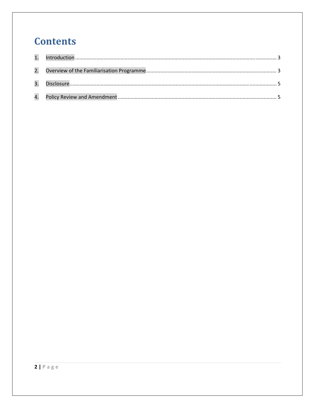# **Contents**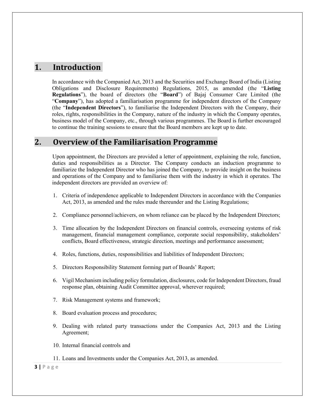### 1. **Introduction**

In accordance with the Companied Act, 2013 and the Securities and Exchange Board of India (Listing Obligations and Disclosure Requirements) Regulations, 2015, as amended (the "**Listing Regulations**"), the board of directors (the "**Board**") of Bajaj Consumer Care Limited (the "**Company**"), has adopted a familiarisation programme for independent directors of the Company (the "**Independent Directors**"), to familiarise the Independent Directors with the Company, their roles, rights, responsibilities in the Company, nature of the industry in which the Company operates, business model of the Company, etc., through various programmes. The Board is further encouraged to continue the training sessions to ensure that the Board members are kept up to date.

# **2. Overview of the Familiarisation Programme**

Upon appointment, the Directors are provided a letter of appointment, explaining the role, function, duties and responsibilities as a Director. The Company conducts an induction programme to familiarize the Independent Director who has joined the Company, to provide insight on the business and operations of the Company and to familiarise them with the industry in which it operates. The independent directors are provided an overview of:

- 1. Criteria of independence applicable to Independent Directors in accordance with the Companies Act, 2013, as amended and the rules made thereunder and the Listing Regulations;
- 2. Compliance personnel/achievers, on whom reliance can be placed by the Independent Directors;
- 3. Time allocation by the Independent Directors on financial controls, overseeing systems of risk management, financial management compliance, corporate social responsibility, stakeholders' conflicts, Board effectiveness, strategic direction, meetings and performance assessment;
- 4. Roles, functions, duties, responsibilities and liabilities of Independent Directors;
- 5. Directors Responsibility Statement forming part of Boards' Report;
- 6. Vigil Mechanism including policy formulation, disclosures, code for Independent Directors, fraud response plan, obtaining Audit Committee approval, wherever required;
- 7. Risk Management systems and framework;
- 8. Board evaluation process and procedures;
- 9. Dealing with related party transactions under the Companies Act, 2013 and the Listing Agreement;
- 10. Internal financial controls and
- 11. Loans and Investments under the Companies Act, 2013, as amended.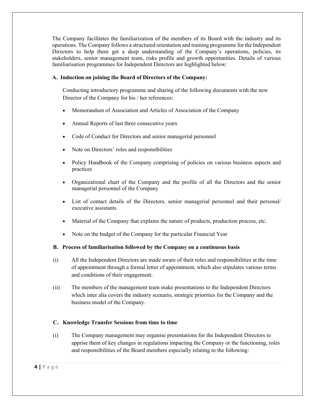The Company facilitates the familiarization of the members of its Board with the industry and its operations. The Company follows a structured orientation and training programme for the Independent Directors to help them get a deep understanding of the Company's operations, policies, its stakeholders, senior management team, risks profile and growth opportunities. Details of various familiarisation programmes for Independent Directors are highlighted below:

#### **A. Induction on joining the Board of Directors of the Company:**

Conducting introductory programme and sharing of the following documents with the new Director of the Company for his / her references:

- Memorandum of Association and Articles of Association of the Company
- Annual Reports of last three consecutive years
- Code of Conduct for Directors and senior managerial personnel
- Note on Directors' roles and responsibilities
- Policy Handbook of the Company comprising of policies on various business aspects and practices
- Organizational chart of the Company and the profile of all the Directors and the senior managerial personnel of the Company
- List of contact details of the Directors, senior managerial personnel and their personal/ executive assistants
- Material of the Company that explains the nature of products, production process, etc.
- Note on the budget of the Company for the particular Financial Year

#### **B. Process of familiarisation followed by the Company on a continuous basis**

- (i) All the Independent Directors are made aware of their roles and responsibilities at the time of appointment through a formal letter of appointment, which also stipulates various terms and conditions of their engagement.
- (ii) The members of the management team make presentations to the Independent Directors which inter alia covers the industry scenario, strategic priorities for the Company and the business model of the Company.

#### **C. Knowledge Transfer Sessions from time to time**

(i) The Company management may organise presentations for the Independent Directors to apprise them of key changes in regulations impacting the Company or the functioning, roles and responsibilities of the Board members especially relating to the following: